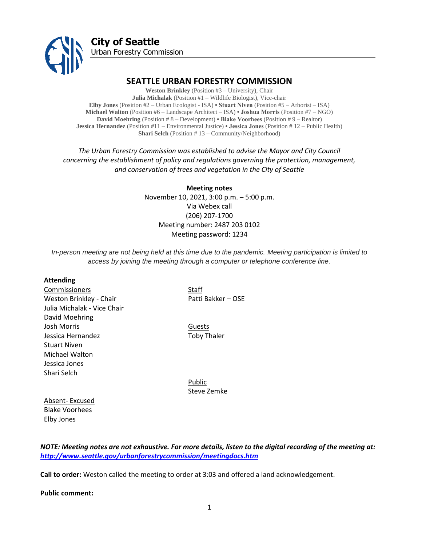

# **SEATTLE URBAN FORESTRY COMMISSION**

**Weston Brinkley** (Position #3 – University), Chair **Julia Michalak** (Position #1 – Wildlife Biologist), Vice-chair **Elby Jones** (Position #2 – Urban Ecologist - ISA) **• Stuart Niven** (Position #5 – Arborist – ISA) **Michael Walton** (Position #6 – Landscape Architect – ISA) **• Joshua Morris** (Position #7 – NGO) **David Moehring** (Position # 8 – Development) **• Blake Voorhees** (Position # 9 – Realtor) **Jessica Hernandez** (Position #11 – Environmental Justice) **• Jessica Jones** (Position # 12 – Public Health) **Shari Selch** (Position # 13 – Community/Neighborhood)

*The Urban Forestry Commission was established to advise the Mayor and City Council concerning the establishment of policy and regulations governing the protection, management, and conservation of trees and vegetation in the City of Seattle*

> **Meeting notes** November 10, 2021, 3:00 p.m. – 5:00 p.m. Via Webex call (206) 207-1700 Meeting number: 2487 203 0102 Meeting password: 1234

*In-person meeting are not being held at this time due to the pandemic. Meeting participation is limited to access by joining the meeting through a computer or telephone conference line.*

#### **Attending**

Commissioners Staff Weston Brinkley - Chair Patti Bakker – OSE Julia Michalak - Vice Chair David Moehring Josh Morris Guests Jessica Hernandez **Toby Thaler** Stuart Niven Michael Walton Jessica Jones Shari Selch

Public Steve Zemke

Absent- Excused Blake Voorhees Elby Jones

*NOTE: Meeting notes are not exhaustive. For more details, listen to the digital recording of the meeting at: <http://www.seattle.gov/urbanforestrycommission/meetingdocs.htm>*

**Call to order:** Weston called the meeting to order at 3:03 and offered a land acknowledgement.

**Public comment:**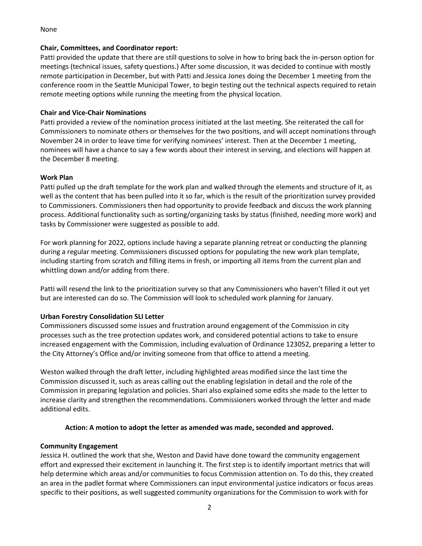#### None

#### **Chair, Committees, and Coordinator report:**

Patti provided the update that there are still questions to solve in how to bring back the in-person option for meetings (technical issues, safety questions.) After some discussion, it was decided to continue with mostly remote participation in December, but with Patti and Jessica Jones doing the December 1 meeting from the conference room in the Seattle Municipal Tower, to begin testing out the technical aspects required to retain remote meeting options while running the meeting from the physical location.

## **Chair and Vice-Chair Nominations**

Patti provided a review of the nomination process initiated at the last meeting. She reiterated the call for Commissioners to nominate others or themselves for the two positions, and will accept nominations through November 24 in order to leave time for verifying nominees' interest. Then at the December 1 meeting, nominees will have a chance to say a few words about their interest in serving, and elections will happen at the December 8 meeting.

### **Work Plan**

Patti pulled up the draft template for the work plan and walked through the elements and structure of it, as well as the content that has been pulled into it so far, which is the result of the prioritization survey provided to Commissioners. Commissioners then had opportunity to provide feedback and discuss the work planning process. Additional functionality such as sorting/organizing tasks by status (finished, needing more work) and tasks by Commissioner were suggested as possible to add.

For work planning for 2022, options include having a separate planning retreat or conducting the planning during a regular meeting. Commissioners discussed options for populating the new work plan template, including starting from scratch and filling items in fresh, or importing all items from the current plan and whittling down and/or adding from there.

Patti will resend the link to the prioritization survey so that any Commissioners who haven't filled it out yet but are interested can do so. The Commission will look to scheduled work planning for January.

# **Urban Forestry Consolidation SLI Letter**

Commissioners discussed some issues and frustration around engagement of the Commission in city processes such as the tree protection updates work, and considered potential actions to take to ensure increased engagement with the Commission, including evaluation of Ordinance 123052, preparing a letter to the City Attorney's Office and/or inviting someone from that office to attend a meeting.

Weston walked through the draft letter, including highlighted areas modified since the last time the Commission discussed it, such as areas calling out the enabling legislation in detail and the role of the Commission in preparing legislation and policies. Shari also explained some edits she made to the letter to increase clarity and strengthen the recommendations. Commissioners worked through the letter and made additional edits.

### **Action: A motion to adopt the letter as amended was made, seconded and approved.**

### **Community Engagement**

Jessica H. outlined the work that she, Weston and David have done toward the community engagement effort and expressed their excitement in launching it. The first step is to identify important metrics that will help determine which areas and/or communities to focus Commission attention on. To do this, they created an area in the padlet format where Commissioners can input environmental justice indicators or focus areas specific to their positions, as well suggested community organizations for the Commission to work with for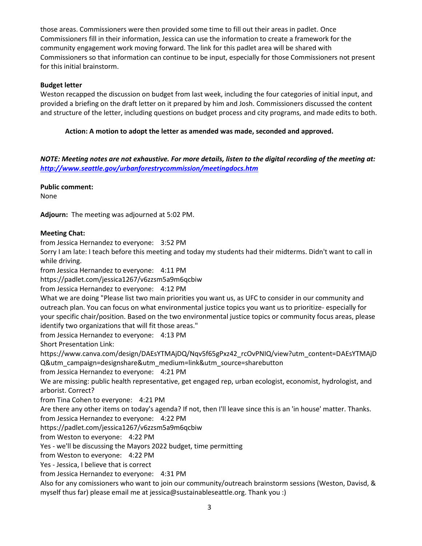those areas. Commissioners were then provided some time to fill out their areas in padlet. Once Commissioners fill in their information, Jessica can use the information to create a framework for the community engagement work moving forward. The link for this padlet area will be shared with Commissioners so that information can continue to be input, especially for those Commissioners not present for this initial brainstorm.

# **Budget letter**

Weston recapped the discussion on budget from last week, including the four categories of initial input, and provided a briefing on the draft letter on it prepared by him and Josh. Commissioners discussed the content and structure of the letter, including questions on budget process and city programs, and made edits to both.

# **Action: A motion to adopt the letter as amended was made, seconded and approved.**

*NOTE: Meeting notes are not exhaustive. For more details, listen to the digital recording of the meeting at: <http://www.seattle.gov/urbanforestrycommission/meetingdocs.htm>*

### **Public comment:**

None

**Adjourn:** The meeting was adjourned at 5:02 PM.

# **Meeting Chat:**

from Jessica Hernandez to everyone: 3:52 PM

Sorry I am late: I teach before this meeting and today my students had their midterms. Didn't want to call in while driving.

from Jessica Hernandez to everyone: 4:11 PM

https://padlet.com/jessica1267/v6zzsm5a9m6qcbiw

from Jessica Hernandez to everyone: 4:12 PM

What we are doing "Please list two main priorities you want us, as UFC to consider in our community and outreach plan. You can focus on what environmental justice topics you want us to prioritize- especially for your specific chair/position. Based on the two environmental justice topics or community focus areas, please identify two organizations that will fit those areas."

from Jessica Hernandez to everyone: 4:13 PM

Short Presentation Link:

https://www.canva.com/design/DAEsYTMAjDQ/Nqv5f65gPxz42\_rcOvPNIQ/view?utm\_content=DAEsYTMAjD Q&utm\_campaign=designshare&utm\_medium=link&utm\_source=sharebutton

from Jessica Hernandez to everyone: 4:21 PM

We are missing: public health representative, get engaged rep, urban ecologist, economist, hydrologist, and arborist. Correct?

from Tina Cohen to everyone: 4:21 PM

Are there any other items on today's agenda? If not, then I'll leave since this is an 'in house' matter. Thanks. from Jessica Hernandez to everyone: 4:22 PM

https://padlet.com/jessica1267/v6zzsm5a9m6qcbiw

from Weston to everyone: 4:22 PM

Yes - we'll be discussing the Mayors 2022 budget, time permitting

from Weston to everyone: 4:22 PM

Yes - Jessica, I believe that is correct

from Jessica Hernandez to everyone: 4:31 PM

Also for any comissioners who want to join our community/outreach brainstorm sessions (Weston, Davisd, & myself thus far) please email me at jessica@sustainableseattle.org. Thank you :)